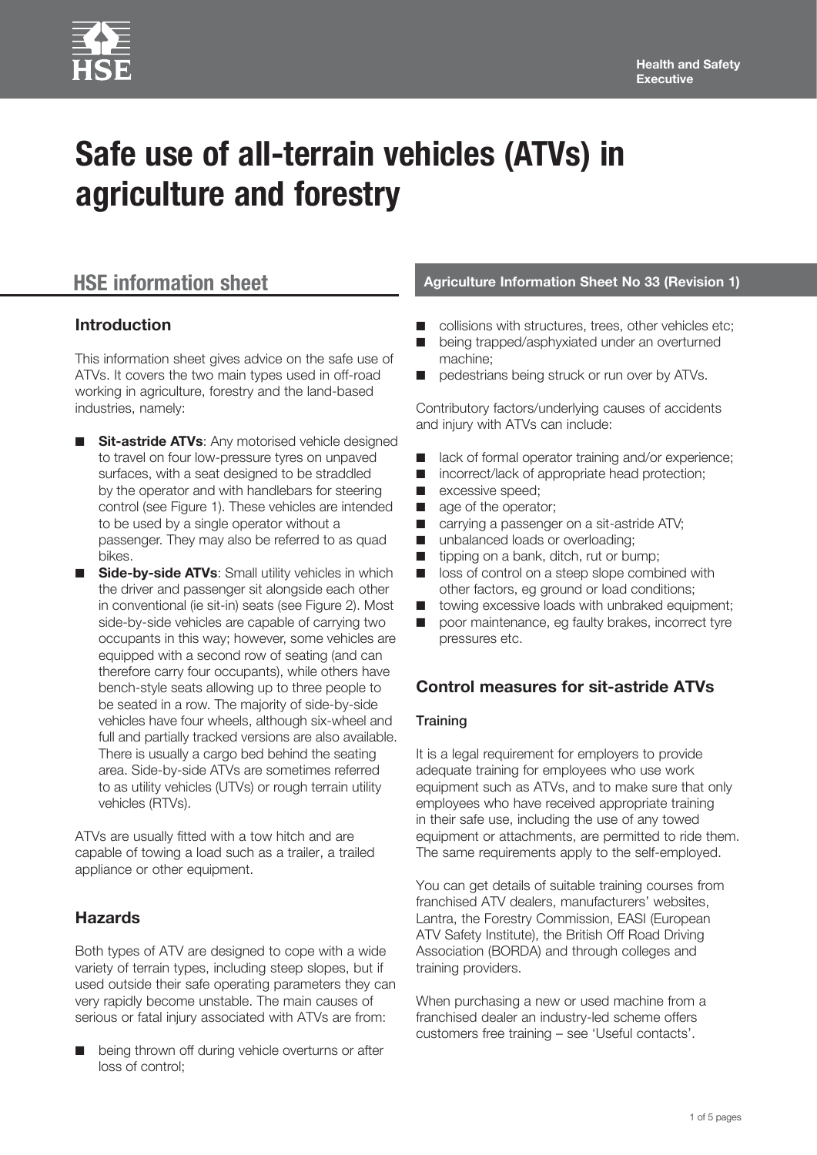# **Safe use of all-terrain vehicles (ATVs) in agriculture and forestry**

## **Introduction**

This information sheet gives advice on the safe use of ATVs. It covers the two main types used in off-road working in agriculture, forestry and the land-based industries, namely:

- **Sit-astride ATVs: Any motorised vehicle designed** to travel on four low-pressure tyres on unpaved surfaces, with a seat designed to be straddled by the operator and with handlebars for steering control (see Figure 1). These vehicles are intended to be used by a single operator without a passenger. They may also be referred to as quad bikes.
- **Side-by-side ATVs:** Small utility vehicles in which the driver and passenger sit alongside each other in conventional (ie sit-in) seats (see Figure 2). Most side-by-side vehicles are capable of carrying two occupants in this way; however, some vehicles are equipped with a second row of seating (and can therefore carry four occupants), while others have bench-style seats allowing up to three people to be seated in a row. The majority of side-by-side vehicles have four wheels, although six-wheel and full and partially tracked versions are also available. There is usually a cargo bed behind the seating area. Side-by-side ATVs are sometimes referred to as utility vehicles (UTVs) or rough terrain utility vehicles (RTVs).

ATVs are usually fitted with a tow hitch and are capable of towing a load such as a trailer, a trailed appliance or other equipment.

# **Hazards**

Both types of ATV are designed to cope with a wide variety of terrain types, including steep slopes, but if used outside their safe operating parameters they can very rapidly become unstable. The main causes of serious or fatal injury associated with ATVs are from:

being thrown off during vehicle overturns or after loss of control;

# **HSE information sheet Agriculture Information Sheet No 33 (Revision 1)**

- collisions with structures, trees, other vehicles etc;
- being trapped/asphyxiated under an overturned machine;
- pedestrians being struck or run over by ATVs.

Contributory factors/underlying causes of accidents and injury with ATVs can include:

- lack of formal operator training and/or experience;
- incorrect/lack of appropriate head protection;
- excessive speed;
- age of the operator;
- carrying a passenger on a sit-astride ATV;
- unbalanced loads or overloading;
- tipping on a bank, ditch, rut or bump;
- loss of control on a steep slope combined with other factors, eg ground or load conditions;
- towing excessive loads with unbraked equipment;
- poor maintenance, eg faulty brakes, incorrect tyre pressures etc.

# **Control measures for sit-astride ATVs**

#### **Training**

It is a legal requirement for employers to provide adequate training for employees who use work equipment such as ATVs, and to make sure that only employees who have received appropriate training in their safe use, including the use of any towed equipment or attachments, are permitted to ride them. The same requirements apply to the self-employed.

You can get details of suitable training courses from franchised ATV dealers, manufacturers' websites, Lantra, the Forestry Commission, EASI (European ATV Safety Institute), the British Off Road Driving Association (BORDA) and through colleges and training providers.

When purchasing a new or used machine from a franchised dealer an industry-led scheme offers customers free training – see 'Useful contacts'.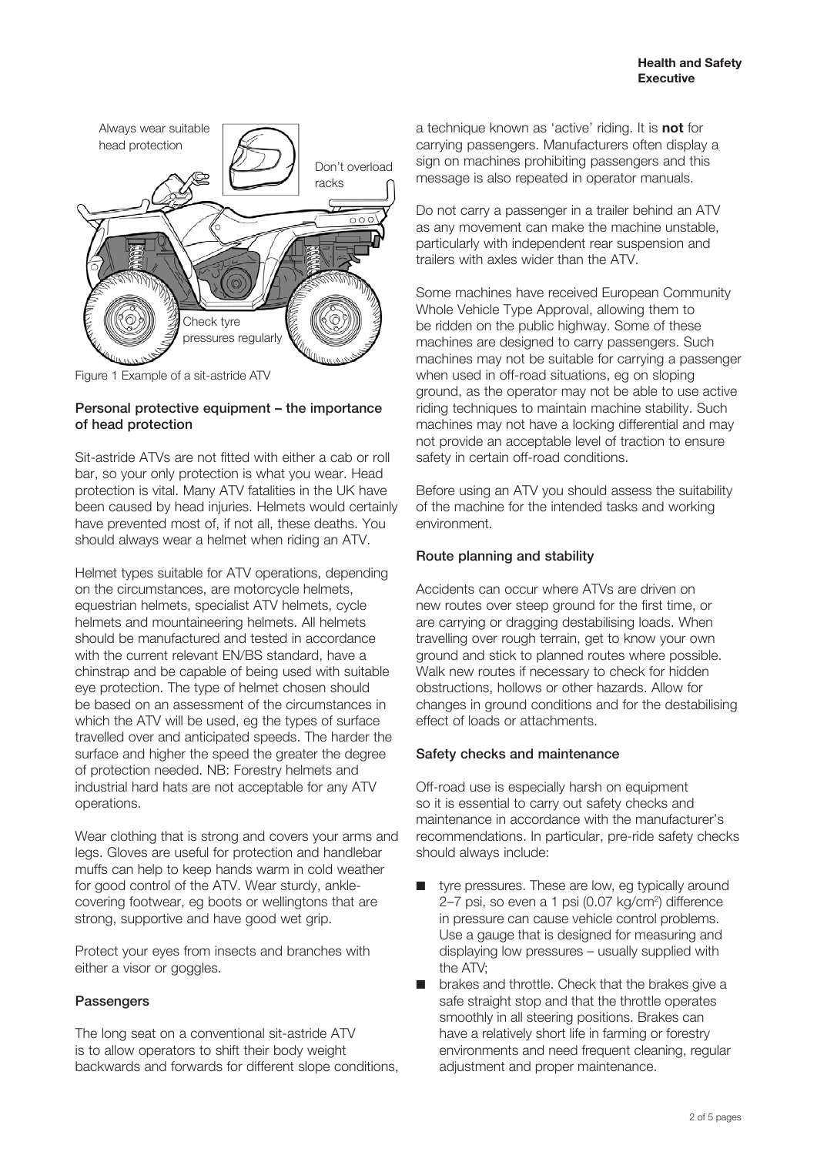

Figure 1 Example of a sit-astride ATV

#### Personal protective equipment – the importance of head protection

Sit-astride ATVs are not fitted with either a cab or roll bar, so your only protection is what you wear. Head protection is vital. Many ATV fatalities in the UK have been caused by head injuries. Helmets would certainly have prevented most of, if not all, these deaths. You should always wear a helmet when riding an ATV.

Helmet types suitable for ATV operations, depending on the circumstances, are motorcycle helmets, equestrian helmets, specialist ATV helmets, cycle helmets and mountaineering helmets. All helmets should be manufactured and tested in accordance with the current relevant FN/BS standard, have a chinstrap and be capable of being used with suitable eye protection. The type of helmet chosen should be based on an assessment of the circumstances in which the ATV will be used, eg the types of surface travelled over and anticipated speeds. The harder the surface and higher the speed the greater the degree of protection needed. NB: Forestry helmets and industrial hard hats are not acceptable for any ATV operations.

Wear clothing that is strong and covers your arms and legs. Gloves are useful for protection and handlebar muffs can help to keep hands warm in cold weather for good control of the ATV. Wear sturdy, anklecovering footwear, eg boots or wellingtons that are strong, supportive and have good wet grip.

Protect your eyes from insects and branches with either a visor or goggles.

#### **Passengers**

The long seat on a conventional sit-astride ATV is to allow operators to shift their body weight backwards and forwards for different slope conditions,

a technique known as 'active' riding. It is **not** for carrying passengers. Manufacturers often display a sign on machines prohibiting passengers and this message is also repeated in operator manuals.

Do not carry a passenger in a trailer behind an ATV as any movement can make the machine unstable, particularly with independent rear suspension and trailers with axles wider than the ATV.

Some machines have received European Community Whole Vehicle Type Approval, allowing them to be ridden on the public highway. Some of these machines are designed to carry passengers. Such machines may not be suitable for carrying a passenger when used in off-road situations, eg on sloping ground, as the operator may not be able to use active riding techniques to maintain machine stability. Such machines may not have a locking differential and may not provide an acceptable level of traction to ensure safety in certain off-road conditions.

Before using an ATV you should assess the suitability of the machine for the intended tasks and working environment.

#### Route planning and stability

Accidents can occur where ATVs are driven on new routes over steep ground for the first time, or are carrying or dragging destabilising loads. When travelling over rough terrain, get to know your own ground and stick to planned routes where possible. Walk new routes if necessary to check for hidden obstructions, hollows or other hazards. Allow for changes in ground conditions and for the destabilising effect of loads or attachments.

#### Safety checks and maintenance

Off-road use is especially harsh on equipment so it is essential to carry out safety checks and maintenance in accordance with the manufacturer's recommendations. In particular, pre-ride safety checks should always include:

- tyre pressures. These are low, eg typically around 2–7 psi, so even a 1 psi (0.07 kg/cm2 ) difference in pressure can cause vehicle control problems. Use a gauge that is designed for measuring and displaying low pressures – usually supplied with the ATV;
- brakes and throttle. Check that the brakes give a safe straight stop and that the throttle operates smoothly in all steering positions. Brakes can have a relatively short life in farming or forestry environments and need frequent cleaning, regular adjustment and proper maintenance.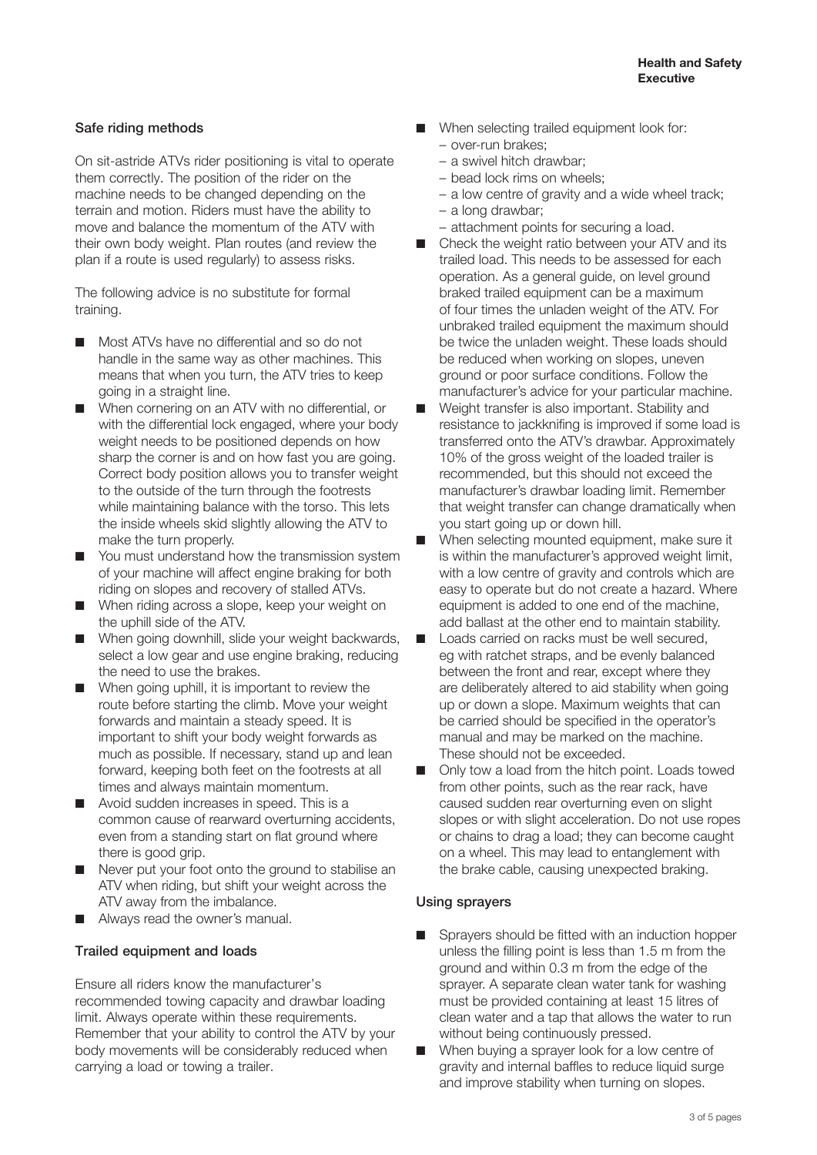#### Safe riding methods

On sit-astride ATVs rider positioning is vital to operate them correctly. The position of the rider on the machine needs to be changed depending on the terrain and motion. Riders must have the ability to move and balance the momentum of the ATV with their own body weight. Plan routes (and review the plan if a route is used regularly) to assess risks.

The following advice is no substitute for formal training.

- Most ATVs have no differential and so do not handle in the same way as other machines. This means that when you turn, the ATV tries to keep going in a straight line.
- When cornering on an ATV with no differential, or with the differential lock engaged, where your body weight needs to be positioned depends on how sharp the corner is and on how fast you are going. Correct body position allows you to transfer weight to the outside of the turn through the footrests while maintaining balance with the torso. This lets the inside wheels skid slightly allowing the ATV to make the turn properly.
- You must understand how the transmission system of your machine will affect engine braking for both riding on slopes and recovery of stalled ATVs.
- When riding across a slope, keep your weight on the uphill side of the ATV.
- When going downhill, slide your weight backwards, select a low gear and use engine braking, reducing the need to use the brakes.
- When going uphill, it is important to review the route before starting the climb. Move your weight forwards and maintain a steady speed. It is important to shift your body weight forwards as much as possible. If necessary, stand up and lean forward, keeping both feet on the footrests at all times and always maintain momentum.
- Avoid sudden increases in speed. This is a common cause of rearward overturning accidents, even from a standing start on flat ground where there is good grip.
- Never put your foot onto the ground to stabilise an ATV when riding, but shift your weight across the ATV away from the imbalance.
- Always read the owner's manual.

#### Trailed equipment and loads

Ensure all riders know the manufacturer's recommended towing capacity and drawbar loading limit. Always operate within these requirements. Remember that your ability to control the ATV by your body movements will be considerably reduced when carrying a load or towing a trailer.

- When selecting trailed equipment look for: – over-run brakes;
	- a swivel hitch drawbar;
	- bead lock rims on wheels;
	- a low centre of gravity and a wide wheel track;
	- a long drawbar;
	- attachment points for securing a load.
- Check the weight ratio between your ATV and its trailed load. This needs to be assessed for each operation. As a general guide, on level ground braked trailed equipment can be a maximum of four times the unladen weight of the ATV. For unbraked trailed equipment the maximum should be twice the unladen weight. These loads should be reduced when working on slopes, uneven ground or poor surface conditions. Follow the manufacturer's advice for your particular machine.
- Weight transfer is also important. Stability and resistance to jackknifing is improved if some load is transferred onto the ATV's drawbar. Approximately 10% of the gross weight of the loaded trailer is recommended, but this should not exceed the manufacturer's drawbar loading limit. Remember that weight transfer can change dramatically when you start going up or down hill.
- When selecting mounted equipment, make sure it is within the manufacturer's approved weight limit, with a low centre of gravity and controls which are easy to operate but do not create a hazard. Where equipment is added to one end of the machine, add ballast at the other end to maintain stability.
- Loads carried on racks must be well secured, eg with ratchet straps, and be evenly balanced between the front and rear, except where they are deliberately altered to aid stability when going up or down a slope. Maximum weights that can be carried should be specified in the operator's manual and may be marked on the machine. These should not be exceeded.
- Only tow a load from the hitch point. Loads towed from other points, such as the rear rack, have caused sudden rear overturning even on slight slopes or with slight acceleration. Do not use ropes or chains to drag a load; they can become caught on a wheel. This may lead to entanglement with the brake cable, causing unexpected braking.

#### Using sprayers

- Sprayers should be fitted with an induction hopper unless the filling point is less than 1.5 m from the ground and within 0.3 m from the edge of the sprayer. A separate clean water tank for washing must be provided containing at least 15 litres of clean water and a tap that allows the water to run without being continuously pressed.
- When buying a sprayer look for a low centre of gravity and internal baffles to reduce liquid surge and improve stability when turning on slopes.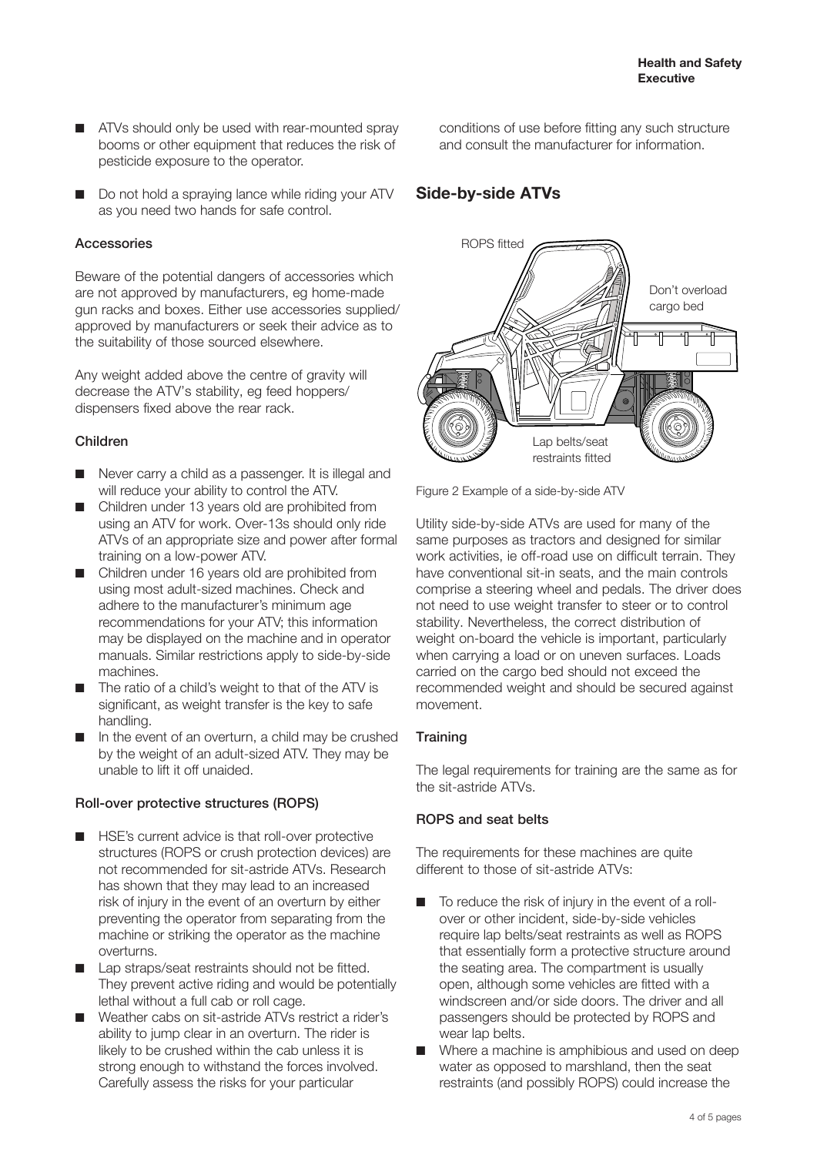- ATVs should only be used with rear-mounted spray booms or other equipment that reduces the risk of pesticide exposure to the operator.
- Do not hold a spraying lance while riding your ATV as you need two hands for safe control.

#### Accessories

Beware of the potential dangers of accessories which are not approved by manufacturers, eg home-made gun racks and boxes. Either use accessories supplied/ approved by manufacturers or seek their advice as to the suitability of those sourced elsewhere.

Any weight added above the centre of gravity will decrease the ATV's stability, eg feed hoppers/ dispensers fixed above the rear rack.

#### Children

- Never carry a child as a passenger. It is illegal and will reduce your ability to control the ATV.
- Children under 13 years old are prohibited from using an ATV for work. Over-13s should only ride ATVs of an appropriate size and power after formal training on a low-power ATV.
- Children under 16 years old are prohibited from using most adult-sized machines. Check and adhere to the manufacturer's minimum age recommendations for your ATV; this information may be displayed on the machine and in operator manuals. Similar restrictions apply to side-by-side machines.
- The ratio of a child's weight to that of the ATV is significant, as weight transfer is the key to safe handling.
- In the event of an overturn, a child may be crushed by the weight of an adult-sized ATV. They may be unable to lift it off unaided.

#### Roll-over protective structures (ROPS)

- HSE's current advice is that roll-over protective structures (ROPS or crush protection devices) are not recommended for sit-astride ATVs. Research has shown that they may lead to an increased risk of injury in the event of an overturn by either preventing the operator from separating from the machine or striking the operator as the machine overturns.
- Lap straps/seat restraints should not be fitted. They prevent active riding and would be potentially lethal without a full cab or roll cage.
- Weather cabs on sit-astride ATVs restrict a rider's ability to jump clear in an overturn. The rider is likely to be crushed within the cab unless it is strong enough to withstand the forces involved. Carefully assess the risks for your particular

conditions of use before fitting any such structure and consult the manufacturer for information.

# **Side-by-side ATVs**



Figure 2 Example of a side-by-side ATV

Utility side-by-side ATVs are used for many of the same purposes as tractors and designed for similar work activities, ie off-road use on difficult terrain. They have conventional sit-in seats, and the main controls comprise a steering wheel and pedals. The driver does not need to use weight transfer to steer or to control stability. Nevertheless, the correct distribution of weight on-board the vehicle is important, particularly when carrying a load or on uneven surfaces. Loads carried on the cargo bed should not exceed the recommended weight and should be secured against movement.

### **Training**

The legal requirements for training are the same as for the sit-astride ATVs.

### ROPS and seat belts

The requirements for these machines are quite different to those of sit-astride ATVs:

- To reduce the risk of injury in the event of a rollover or other incident, side-by-side vehicles require lap belts/seat restraints as well as ROPS that essentially form a protective structure around the seating area. The compartment is usually open, although some vehicles are fitted with a windscreen and/or side doors. The driver and all passengers should be protected by ROPS and wear lap belts.
- Where a machine is amphibious and used on deep water as opposed to marshland, then the seat restraints (and possibly ROPS) could increase the